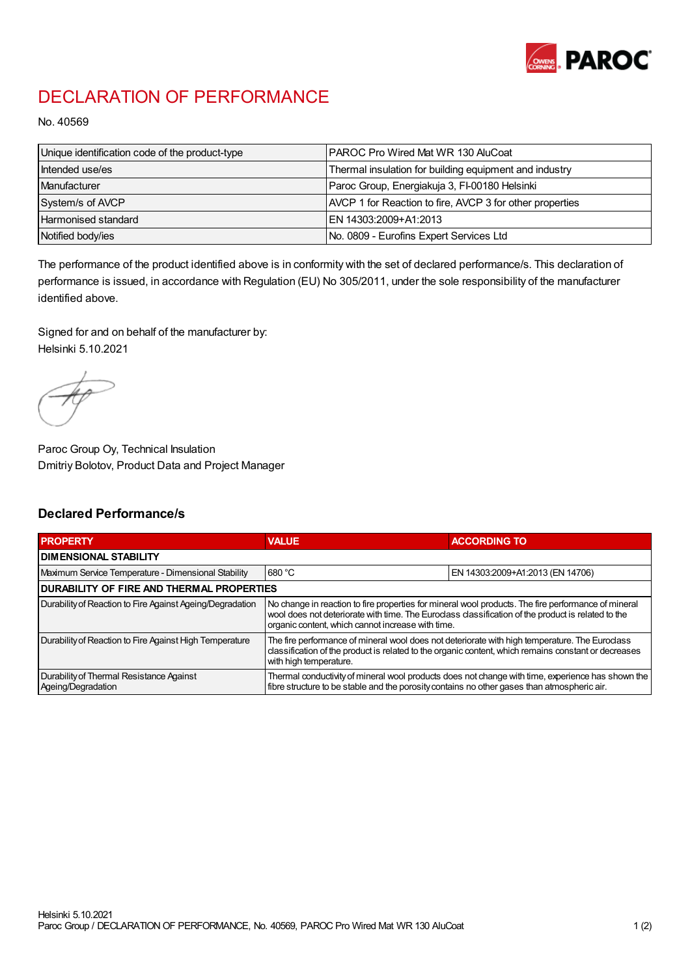

## DECLARATION OF PERFORMANCE

No. 40569

| Unique identification code of the product-type | IPAROC Pro Wired Mat WR 130 AluCoat                      |
|------------------------------------------------|----------------------------------------------------------|
| Intended use/es                                | Thermal insulation for building equipment and industry   |
| Manufacturer                                   | Paroc Group, Energiakuja 3, FI-00180 Helsinki            |
| System/s of AVCP                               | AVCP 1 for Reaction to fire, AVCP 3 for other properties |
| Harmonised standard                            | IEN 14303:2009+A1:2013                                   |
| Notified body/ies                              | No. 0809 - Eurofins Expert Services Ltd                  |

The performance of the product identified above is in conformity with the set of declared performance/s. This declaration of performance is issued, in accordance with Regulation (EU) No 305/2011, under the sole responsibility of the manufacturer identified above.

Signed for and on behalf of the manufacturer by: Helsinki 5.10.2021

Paroc Group Oy, Technical Insulation Dmitriy Bolotov, Product Data and Project Manager

## Declared Performance/s

| <b>PROPERTY</b>                                                | <b>VALUE</b>                                                                                                                                                                                                                                                   | <b>ACCORDING TO</b>              |  |
|----------------------------------------------------------------|----------------------------------------------------------------------------------------------------------------------------------------------------------------------------------------------------------------------------------------------------------------|----------------------------------|--|
| <b>DIMENSIONAL STABILITY</b>                                   |                                                                                                                                                                                                                                                                |                                  |  |
| Maximum Service Temperature - Dimensional Stability            | 680 °C                                                                                                                                                                                                                                                         | EN 14303:2009+A1:2013 (EN 14706) |  |
| <b>DURABILITY OF FIRE AND THERMAL PROPERTIES</b>               |                                                                                                                                                                                                                                                                |                                  |  |
| Durability of Reaction to Fire Against Ageing/Degradation      | No change in reaction to fire properties for mineral wool products. The fire performance of mineral<br>wool does not deteriorate with time. The Euroclass classification of the product is related to the<br>organic content, which cannot increase with time. |                                  |  |
| Durability of Reaction to Fire Against High Temperature        | The fire performance of mineral wool does not deteriorate with high temperature. The Euroclass<br>classification of the product is related to the organic content, which remains constant or decreases<br>with high temperature.                               |                                  |  |
| Durability of Thermal Resistance Against<br>Ageing/Degradation | Thermal conductivity of mineral wool products does not change with time, experience has shown the<br>fibre structure to be stable and the porosity contains no other gases than atmospheric air.                                                               |                                  |  |